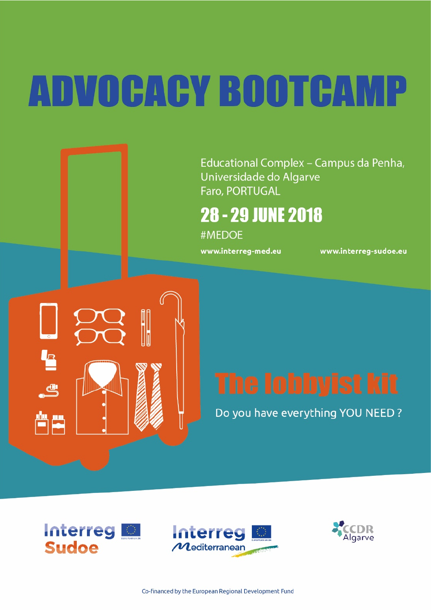# **ADVOCACY BOOTCAMP**

Educational Complex - Campus da Penha, Universidade do Algarve Faro, PORTUGAL

## **28 - 29 JUNE 2018**

#MEDOE

www.interreg-med.eu

www.interreg-sudoe.eu

Do you have everything YOU NEED?



Ł

 $\mathbf{e}$ 

曾慶



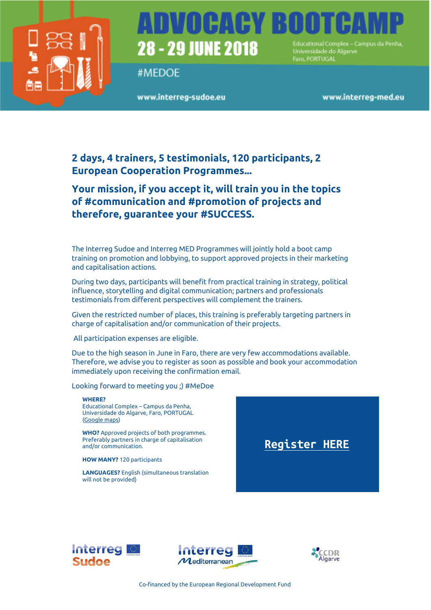

## **28 - 29 JUNE 2018** Universidade do Álgarvo

#MFDOF

www.interreg-sudoe.eu

Faro, PORTUGAL

www.interreg-med.eu

### **2 days, 4 trainers, 5 testimonials, 120 participants, 2 European Cooperation Programmes...**

### **Your mission, if you accept it, will train you in the topics of #communication and #promotion of projects and therefore, guarantee your #SUCCESS.**

The Interreg Sudoe and Interreg MED Programmes will jointly hold a boot camp training on promotion and lobbying, to support approved projects in their marketing and capitalisation actions.

During two days, participants will benefit from practical training in strategy, political influence, storytelling and digital communication; partners and professionals testimonials from different perspectives will complement the trainers.

Given the restricted number of places, this training is preferably targeting partners in charge of capitalisation and/or communication of their projects.

All participation expenses are eligible.

Due to the high season in June in Faro, there are very few accommodations available. Therefore, we advise you to register as soon as possible and book your accommodation immediately upon receiving the confirmation email.

Looking forward to meeting you ;) #MeDoe

#### **WHERE?**

Educational Complex – Campus da Penha, Universidade do Algarve, Faro, PORTUGAL [\(Google maps\)](https://goo.gl/maps/YT19FwKDgDt)

**WHO?** Approved projects of both programmes. Preferably partners in charge of capitalisation and/or communication.

**HOW MANY?** 120 participants

**LANGUAGES?** English (simultaneous translation will not be provided)







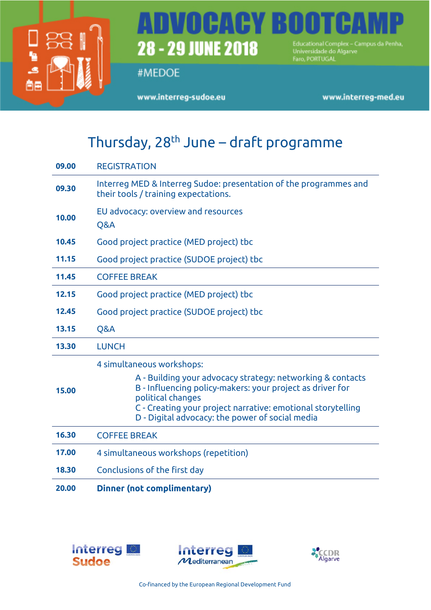

## Educational Complex – Campus da Penha,<br>Universidade do Algarve<br>Faro, PORTUGAL 28 - 29 JUNE 2018

#MEDOE

www.interreg-sudoe.eu

www.interreg-med.eu

## Thursday,  $28<sup>th</sup>$  June – draft programme

| 09.00 | <b>REGISTRATION</b>                                                                                                                                                                                                                                                                         |
|-------|---------------------------------------------------------------------------------------------------------------------------------------------------------------------------------------------------------------------------------------------------------------------------------------------|
| 09.30 | Interreg MED & Interreg Sudoe: presentation of the programmes and<br>their tools / training expectations.                                                                                                                                                                                   |
| 10.00 | EU advocacy: overview and resources<br>Q&A                                                                                                                                                                                                                                                  |
| 10.45 | Good project practice (MED project) tbc                                                                                                                                                                                                                                                     |
| 11.15 | Good project practice (SUDOE project) tbc                                                                                                                                                                                                                                                   |
| 11.45 | <b>COFFEE BREAK</b>                                                                                                                                                                                                                                                                         |
| 12.15 | Good project practice (MED project) tbc                                                                                                                                                                                                                                                     |
| 12.45 | Good project practice (SUDOE project) tbc                                                                                                                                                                                                                                                   |
| 13.15 | Q&A                                                                                                                                                                                                                                                                                         |
| 13.30 | <b>LUNCH</b>                                                                                                                                                                                                                                                                                |
| 15.00 | 4 simultaneous workshops:<br>A - Building your advocacy strategy: networking & contacts<br>B - Influencing policy-makers: your project as driver for<br>political changes<br>C - Creating your project narrative: emotional storytelling<br>D - Digital advocacy: the power of social media |
| 16.30 | <b>COFFEE BREAK</b>                                                                                                                                                                                                                                                                         |
| 17.00 | 4 simultaneous workshops (repetition)                                                                                                                                                                                                                                                       |
| 18.30 | Conclusions of the first day                                                                                                                                                                                                                                                                |
| 20.00 | <b>Dinner (not complimentary)</b>                                                                                                                                                                                                                                                           |





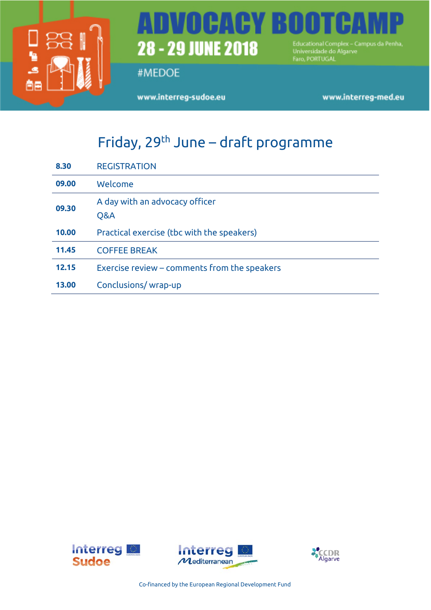

## Educational Complex – Campus da Penha,<br>Universidade do Algarve<br>Faro, PORTUGAL 28 - 29 JUNE 2018

#MEDOE

www.interreg-sudoe.eu

www.interreg-med.eu

## Friday, 29<sup>th</sup> June – draft programme

| 8.30  | <b>REGISTRATION</b>                          |
|-------|----------------------------------------------|
| 09.00 | Welcome                                      |
| 09.30 | A day with an advocacy officer<br>Q&A        |
| 10.00 | Practical exercise (tbc with the speakers)   |
| 11.45 | <b>COFFEE BREAK</b>                          |
| 12.15 | Exercise review - comments from the speakers |
| 13.00 | Conclusions/wrap-up                          |





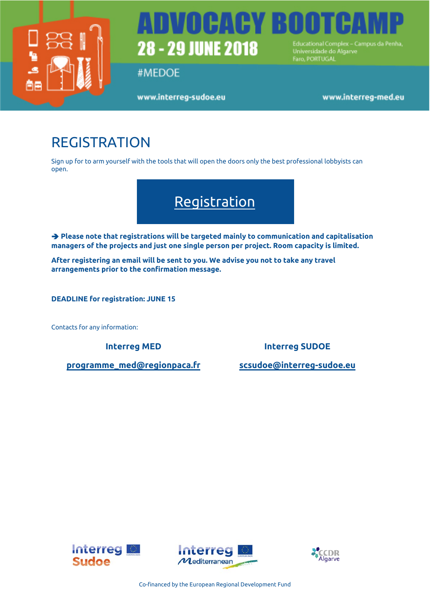

## TIHA **28 - 29 JUNE 2018** Educational Complex - Campus da Penha Universidade do Algarve

#MEDOE

www.interreg-sudoe.eu

Faro, PORTUGAL

www.interreg-med.eu

## REGISTRATION

Sign up for to arm yourself with the tools that will open the doors only the best professional lobbyists can open.



 **Please note that registrations will be targeted mainly to communication and capitalisation managers of the projects and just one single person per project. Room capacity is limited.** 

**After registering an email will be sent to you. We advise you not to take any travel arrangements prior to the confirmation message.**

**DEADLINE for registration: JUNE 15**

Contacts for any information:

**[programme\\_med@regionpaca.fr](mailto:programme_med@regionpaca.fr) [scsudoe@interreg-sudoe.eu](mailto:scsudoe@interreg-sudoe.eu)**

**Interreg MED Interreg SUDOE**





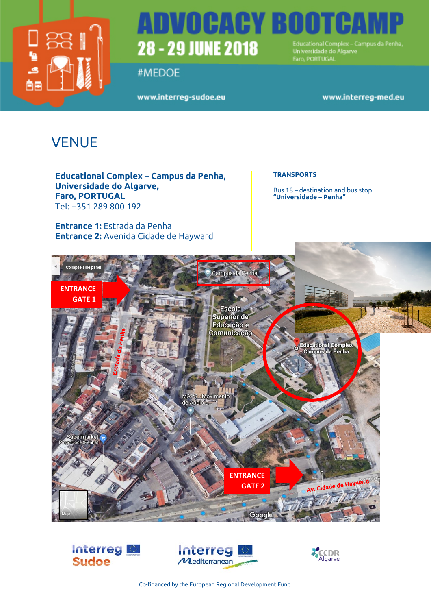

## TVOLHAEY BO 28 - 29 JUNE 2018 Educational Complex - Campus da Penha,<br>Universidade do Algarve

#MEDOE

www.interreg-sudoe.eu

Faro, PORTUGAL

www.interreg-med.eu

## **VENUE**

**Educational Complex – Campus da Penha, Universidade do Algarve, Faro, PORTUGAL** Tel: +351 289 800 192

**Entrance 1:** Estrada da Penha **Entrance 2:** Avenida Cidade de Hayward

### **TRANSPORTS**

Bus 18 – destination and bus stop **"Universidade – Penha"**









Co-financed by the European Regional Development Fund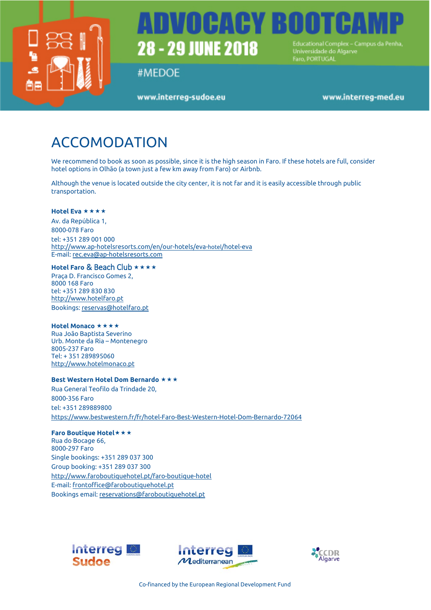

## VOCACY BOO **28 - 29 JUNE 2018** Educational Complex - Campus da Penha Universidade do Álgarvo

#MEDOE

www.interreg-sudoe.eu

Faro, PORTUGAL

www.interreg-med.eu

## ACCOMODATION

We recommend to book as soon as possible, since it is the high season in Faro. If these hotels are full, consider hotel options in Olhão (a town just a few km away from Faro) or Airbnb.

Although the venue is located outside the city center, it is not far and it is easily accessible through public transportation.

#### [Hotel Eva](http://www.visitalgarve.pt/pt/1179/hotel-eva.aspx) \*\*\*\*

Av. da República 1, 8000-078 Faro tel: +351 289 001 000 <http://www.ap-hotelsresorts.com/en/our-hotels/eva-hotel/hotel-eva> E-mail: [rec.eva@ap-hotelsresorts.com](mailto:rec.eva@ap-hotelsresorts.com) 

#### **[Hotel Faro](http://www.visitalgarve.pt/pt/1180/hotel-faro.aspx)** & Beach Club

Praça D. Francisco Gomes 2, 8000 168 Faro tel: +351 289 830 830 [http://www.hotelfaro.pt](http://www.hotelfaro.pt/) Bookings: [reservas@hotelfaro.pt](mailto:reservas@hotelfaro.pt) 

#### **Hotel Monaco**

Rua João Baptista Severino Urb. Monte da Ria – Montenegro 8005-237 Faro Tel: + 351 289895060 [http://www.hotelmonaco.pt](http://www.hotelmonaco.pt/)

#### **[Best Western Hotel Dom Bernardo](http://best-western-hotel-dom-bernardo.faro.hotelsalgarve.org/en/)**

Rua General Teofilo da Trindade 20, 8000-356 Faro tel: +351 289889800 <https://www.bestwestern.fr/fr/hotel-Faro-Best-Western-Hotel-Dom-Bernardo-72064>

**[Faro Boutique Hotel](http://faro-boutique-hotel.faro.hotelsalgarve.org/en/)** Rua do Bocage 66, 8000-297 Faro Single bookings: +351 289 037 300 Group booking: +351 289 037 300 <http://www.faroboutiquehotel.pt/faro-boutique-hotel> E-mail[: frontoffice@faroboutiquehotel.pt](mailto:frontoffice@faroboutiquehotel.pt) Bookings email[: reservations@faroboutiquehotel.pt](mailto:reservations@faroboutiquehotel.pt)